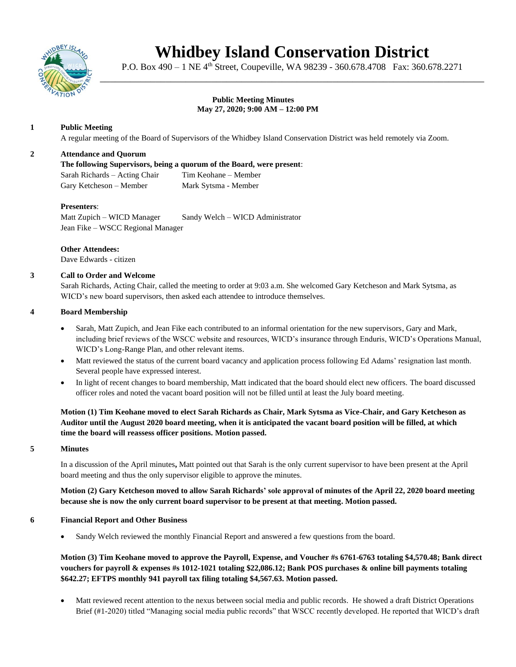

# **Whidbey Island Conservation District**

P.O. Box 490 – 1 NE 4<sup>th</sup> Street, Coupeville, WA 98239 - 360.678.4708 Fax: 360.678.2271 \_\_\_\_\_\_\_\_\_\_\_\_\_\_\_\_\_\_\_\_\_\_\_\_\_\_\_\_\_\_\_\_\_\_\_\_\_\_\_\_\_\_\_\_\_\_\_\_\_\_\_\_\_\_\_\_\_\_\_\_\_\_\_\_\_\_\_\_\_\_\_\_\_\_\_\_

#### **Public Meeting Minutes May 27, 2020; 9:00 AM – 12:00 PM**

# **1 Public Meeting**

A regular meeting of the Board of Supervisors of the Whidbey Island Conservation District was held remotely via Zoom.

# **2 Attendance and Quorum**

**The following Supervisors, being a quorum of the Board, were present**: Sarah Richards – Acting Chair Tim Keohane – Member Gary Ketcheson – Member Mark Sytsma - Member

# **Presenters**:

Matt Zupich – WICD Manager Sandy Welch – WICD Administrator Jean Fike – WSCC Regional Manager

**Other Attendees:** Dave Edwards - citizen

# **3 Call to Order and Welcome**

Sarah Richards, Acting Chair, called the meeting to order at 9:03 a.m. She welcomed Gary Ketcheson and Mark Sytsma, as WICD's new board supervisors, then asked each attendee to introduce themselves.

#### **4 Board Membership**

- Sarah, Matt Zupich, and Jean Fike each contributed to an informal orientation for the new supervisors, Gary and Mark, including brief reviews of the WSCC website and resources, WICD's insurance through Enduris, WICD's Operations Manual, WICD's Long-Range Plan, and other relevant items.
- Matt reviewed the status of the current board vacancy and application process following Ed Adams' resignation last month. Several people have expressed interest.
- In light of recent changes to board membership, Matt indicated that the board should elect new officers. The board discussed officer roles and noted the vacant board position will not be filled until at least the July board meeting.

**Motion (1) Tim Keohane moved to elect Sarah Richards as Chair, Mark Sytsma as Vice-Chair, and Gary Ketcheson as Auditor until the August 2020 board meeting, when it is anticipated the vacant board position will be filled, at which time the board will reassess officer positions. Motion passed.**

# **5 Minutes**

In a discussion of the April minutes**,** Matt pointed out that Sarah is the only current supervisor to have been present at the April board meeting and thus the only supervisor eligible to approve the minutes.

**Motion (2) Gary Ketcheson moved to allow Sarah Richards' sole approval of minutes of the April 22, 2020 board meeting because she is now the only current board supervisor to be present at that meeting. Motion passed.** 

#### **6 Financial Report and Other Business**

• Sandy Welch reviewed the monthly Financial Report and answered a few questions from the board.

**Motion (3) Tim Keohane moved to approve the Payroll, Expense, and Voucher #s 6761-6763 totaling \$4,570.48; Bank direct vouchers for payroll & expenses #s 1012-1021 totaling \$22,086.12; Bank POS purchases & online bill payments totaling \$642.27; EFTPS monthly 941 payroll tax filing totaling \$4,567.63. Motion passed.** 

Matt reviewed recent attention to the nexus between social media and public records. He showed a draft District Operations Brief (#1-2020) titled "Managing social media public records" that WSCC recently developed. He reported that WICD's draft